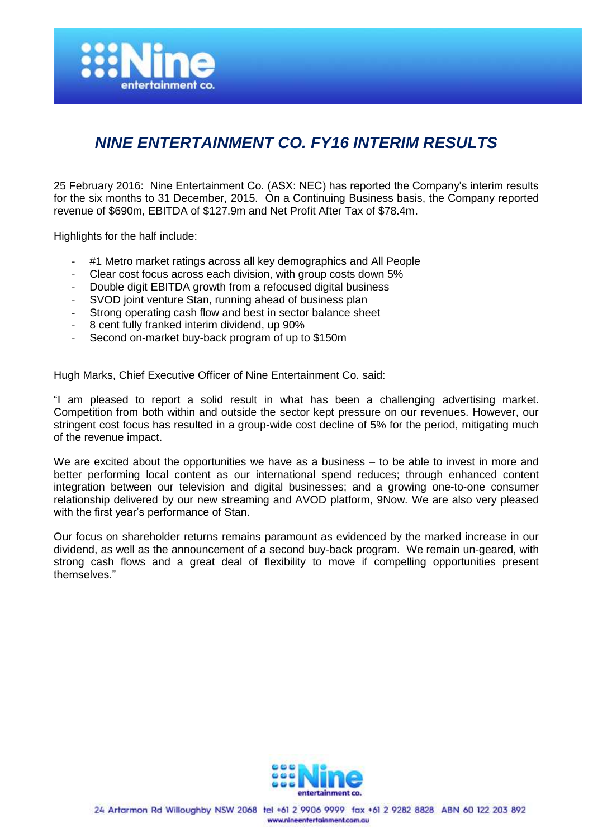

# *NINE ENTERTAINMENT CO. FY16 INTERIM RESULTS*

25 February 2016: Nine Entertainment Co. (ASX: NEC) has reported the Company's interim results for the six months to 31 December, 2015. On a Continuing Business basis, the Company reported revenue of \$690m, EBITDA of \$127.9m and Net Profit After Tax of \$78.4m.

Highlights for the half include:

- #1 Metro market ratings across all key demographics and All People
- Clear cost focus across each division, with group costs down 5%
- Double digit EBITDA growth from a refocused digital business
- SVOD joint venture Stan, running ahead of business plan
- Strong operating cash flow and best in sector balance sheet
- 8 cent fully franked interim dividend, up 90%
- Second on-market buy-back program of up to \$150m

Hugh Marks, Chief Executive Officer of Nine Entertainment Co. said:

"I am pleased to report a solid result in what has been a challenging advertising market. Competition from both within and outside the sector kept pressure on our revenues. However, our stringent cost focus has resulted in a group-wide cost decline of 5% for the period, mitigating much of the revenue impact.

We are excited about the opportunities we have as a business – to be able to invest in more and better performing local content as our international spend reduces; through enhanced content integration between our television and digital businesses; and a growing one-to-one consumer relationship delivered by our new streaming and AVOD platform, 9Now. We are also very pleased with the first year's performance of Stan.

Our focus on shareholder returns remains paramount as evidenced by the marked increase in our dividend, as well as the announcement of a second buy-back program. We remain un-geared, with strong cash flows and a great deal of flexibility to move if compelling opportunities present themselves."

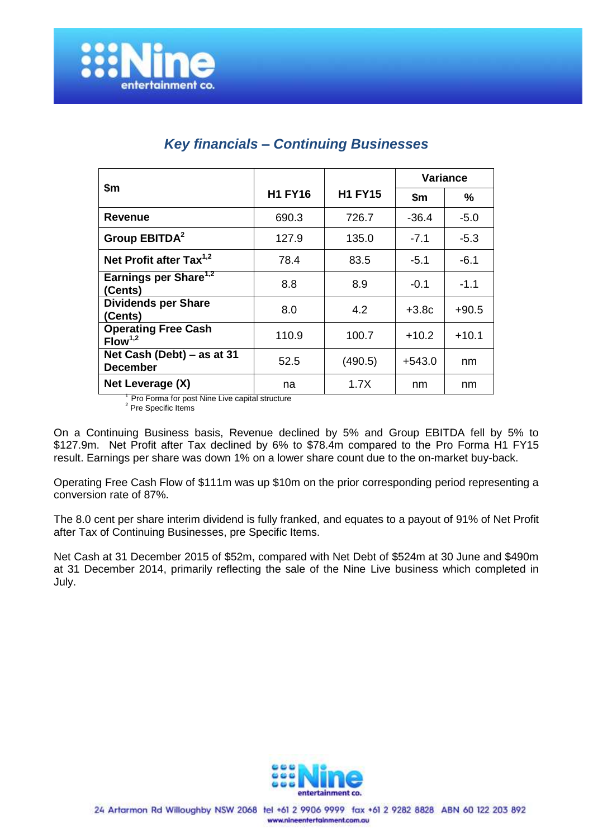|                                                   |                |                | Variance |         |
|---------------------------------------------------|----------------|----------------|----------|---------|
| \$m                                               | <b>H1 FY16</b> | <b>H1 FY15</b> | \$m      | ℅       |
| <b>Revenue</b>                                    | 690.3          | 726.7          | $-36.4$  | $-5.0$  |
| Group EBITDA <sup>2</sup>                         | 127.9          | 135.0          | $-7.1$   | $-5.3$  |
| Net Profit after Tax <sup>1,2</sup>               | 78.4           | 83.5           | $-5.1$   | $-6.1$  |
| Earnings per Share <sup>1,2</sup><br>(Cents)      | 8.8            | 8.9            | $-0.1$   | $-1.1$  |
| <b>Dividends per Share</b><br>(Cents)             | 8.0            | 4.2            | $+3.8c$  | $+90.5$ |
| <b>Operating Free Cash</b><br>Flow <sup>1,2</sup> | 110.9          | 100.7          | $+10.2$  | $+10.1$ |
| Net Cash (Debt) – as at 31<br><b>December</b>     | 52.5           | (490.5)        | $+543.0$ | nm      |
| Net Leverage (X)<br>$1 - - -$                     | na<br>.        | 1.7X           | nm       | nm      |

## *Key financials – Continuing Businesses*

<sup>1</sup>Pro Forma for post Nine Live capital structure

<sup>2</sup> Pre Specific Items

On a Continuing Business basis, Revenue declined by 5% and Group EBITDA fell by 5% to \$127.9m. Net Profit after Tax declined by 6% to \$78.4m compared to the Pro Forma H1 FY15 result. Earnings per share was down 1% on a lower share count due to the on-market buy-back.

Operating Free Cash Flow of \$111m was up \$10m on the prior corresponding period representing a conversion rate of 87%.

The 8.0 cent per share interim dividend is fully franked, and equates to a payout of 91% of Net Profit after Tax of Continuing Businesses, pre Specific Items.

Net Cash at 31 December 2015 of \$52m, compared with Net Debt of \$524m at 30 June and \$490m at 31 December 2014, primarily reflecting the sale of the Nine Live business which completed in July.

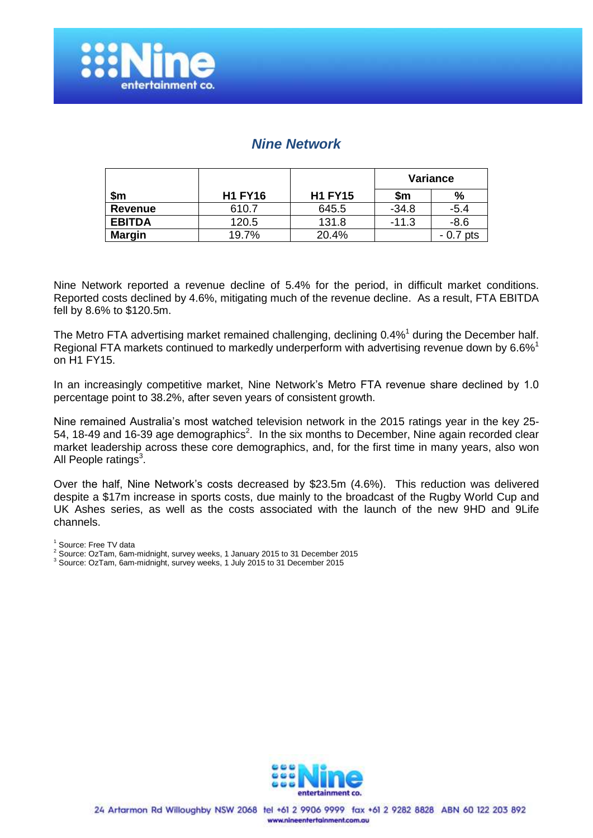

### *Nine Network*

|                |                |                | <b>Variance</b> |              |
|----------------|----------------|----------------|-----------------|--------------|
| \$m            | <b>H1 FY16</b> | <b>H1 FY15</b> | \$m             | %            |
| <b>Revenue</b> | 610.7          | 645.5          | $-34.8$         | $-5.4$       |
| <b>EBITDA</b>  | 120.5          | 131.8          | $-11.3$         | $-8.6$       |
| <b>Margin</b>  | 19.7%          | 20.4%          |                 | pts<br>- 0.7 |

Nine Network reported a revenue decline of 5.4% for the period, in difficult market conditions. Reported costs declined by 4.6%, mitigating much of the revenue decline. As a result, FTA EBITDA fell by 8.6% to \$120.5m.

The Metro FTA advertising market remained challenging, declining 0.4% 1 during the December half. Regional FTA markets continued to markedly underperform with advertising revenue down by 6.6%<sup>1</sup> on H1 FY15.

In an increasingly competitive market, Nine Network's Metro FTA revenue share declined by 1.0 percentage point to 38.2%, after seven years of consistent growth.

Nine remained Australia's most watched television network in the 2015 ratings year in the key 25- 54, 18-49 and 16-39 age demographics<sup>2</sup>. In the six months to December, Nine again recorded clear market leadership across these core demographics, and, for the first time in many years, also won All People ratings<sup>3</sup>.

Over the half, Nine Network's costs decreased by \$23.5m (4.6%). This reduction was delivered despite a \$17m increase in sports costs, due mainly to the broadcast of the Rugby World Cup and UK Ashes series, as well as the costs associated with the launch of the new 9HD and 9Life channels.

<sup>1</sup> Source: Free TV data

<sup>3</sup> Source: OzTam, 6am-midnight, survey weeks, 1 July 2015 to 31 December 2015



<sup>2</sup> Source: OzTam, 6am-midnight, survey weeks, 1 January 2015 to 31 December 2015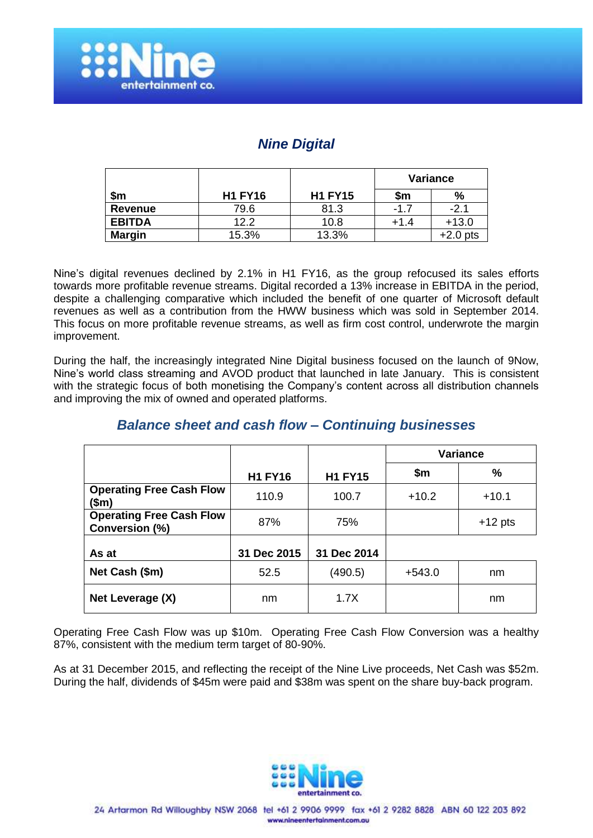

### *Nine Digital*

|               |                |                | Variance |          |
|---------------|----------------|----------------|----------|----------|
| \$m           | <b>H1 FY16</b> | <b>H1 FY15</b> | \$m      | %        |
| Revenue       | 79.6           | 81.3           | $-1.7$   | $-2.1$   |
| <b>EBITDA</b> | 12.2           | 10.8           | $+1.4$   | $+13.0$  |
| <b>Margin</b> | 15.3%          | 13.3%          |          | +2.0 pts |

Nine's digital revenues declined by 2.1% in H1 FY16, as the group refocused its sales efforts towards more profitable revenue streams. Digital recorded a 13% increase in EBITDA in the period, despite a challenging comparative which included the benefit of one quarter of Microsoft default revenues as well as a contribution from the HWW business which was sold in September 2014. This focus on more profitable revenue streams, as well as firm cost control, underwrote the margin improvement.

During the half, the increasingly integrated Nine Digital business focused on the launch of 9Now, Nine's world class streaming and AVOD product that launched in late January. This is consistent with the strategic focus of both monetising the Company's content across all distribution channels and improving the mix of owned and operated platforms.

### *Balance sheet and cash flow – Continuing businesses*

|                                                   |                |                | <b>Variance</b> |           |
|---------------------------------------------------|----------------|----------------|-----------------|-----------|
|                                                   | <b>H1 FY16</b> | <b>H1 FY15</b> | \$m             | %         |
| <b>Operating Free Cash Flow</b><br>(\$m)          | 110.9          | 100.7          | $+10.2$         | $+10.1$   |
| <b>Operating Free Cash Flow</b><br>Conversion (%) | 87%            | 75%            |                 | $+12$ pts |
| As at                                             | 31 Dec 2015    | 31 Dec 2014    |                 |           |
| Net Cash (\$m)                                    | 52.5           | (490.5)        | $+543.0$        | nm        |
| Net Leverage (X)                                  | nm             | 1.7X           |                 | nm        |

Operating Free Cash Flow was up \$10m. Operating Free Cash Flow Conversion was a healthy 87%, consistent with the medium term target of 80-90%.

As at 31 December 2015, and reflecting the receipt of the Nine Live proceeds, Net Cash was \$52m. During the half, dividends of \$45m were paid and \$38m was spent on the share buy-back program.

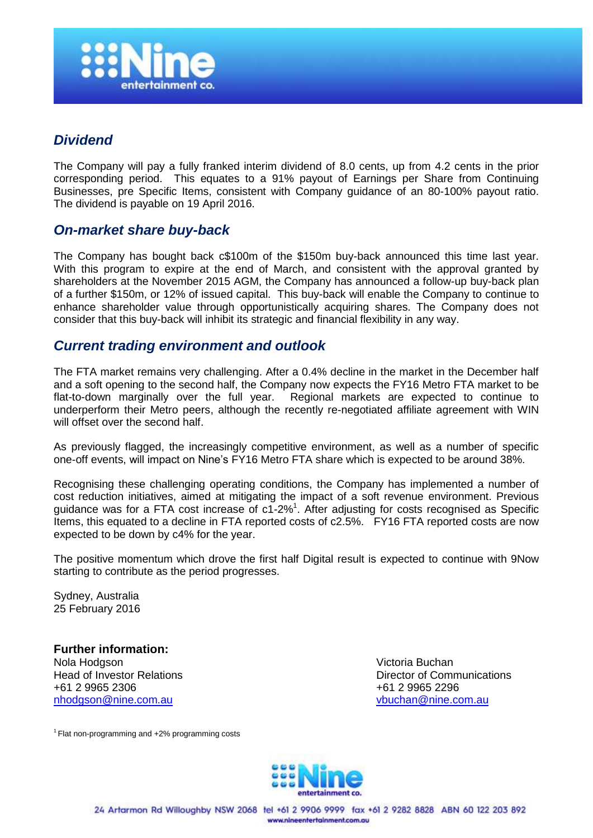

### *Dividend*

The Company will pay a fully franked interim dividend of 8.0 cents, up from 4.2 cents in the prior corresponding period. This equates to a 91% payout of Earnings per Share from Continuing Businesses, pre Specific Items, consistent with Company guidance of an 80-100% payout ratio. The dividend is payable on 19 April 2016.

#### *On-market share buy-back*

The Company has bought back c\$100m of the \$150m buy-back announced this time last year. With this program to expire at the end of March, and consistent with the approval granted by shareholders at the November 2015 AGM, the Company has announced a follow-up buy-back plan of a further \$150m, or 12% of issued capital. This buy-back will enable the Company to continue to enhance shareholder value through opportunistically acquiring shares. The Company does not consider that this buy-back will inhibit its strategic and financial flexibility in any way.

#### *Current trading environment and outlook*

The FTA market remains very challenging. After a 0.4% decline in the market in the December half and a soft opening to the second half, the Company now expects the FY16 Metro FTA market to be flat-to-down marginally over the full year. Regional markets are expected to continue to underperform their Metro peers, although the recently re-negotiated affiliate agreement with WIN will offset over the second half.

As previously flagged, the increasingly competitive environment, as well as a number of specific one-off events, will impact on Nine's FY16 Metro FTA share which is expected to be around 38%.

Recognising these challenging operating conditions, the Company has implemented a number of cost reduction initiatives, aimed at mitigating the impact of a soft revenue environment. Previous guidance was for a FTA cost increase of  $c1-2\%$ <sup>1</sup>. After adjusting for costs recognised as Specific Items, this equated to a decline in FTA reported costs of c2.5%. FY16 FTA reported costs are now expected to be down by c4% for the year.

The positive momentum which drove the first half Digital result is expected to continue with 9Now starting to contribute as the period progresses.

Sydney, Australia 25 February 2016

**Further information:** Nola Hodgson Victoria Buchan +61 2 9965 2306 +61 2 9965 2296 [nhodgson@nine.com.au](mailto:nhodgson@nine.com.au) [vbuchan@nine.com.au](../AppData/Local/Microsoft/Windows/Temporary%20Internet%20Files/Content.Outlook/Library/Containers/com.apple.mail/Data/Library/Mail%20Downloads/AppData/Local/Microsoft/Windows/Temporary%20Internet%20Files/Content.Outlook/8RLTUVKE/vbuchan@nine.com.au)

Head of Investor Relations **Director of Communications** 

 $1$ Flat non-programming and  $+2%$  programming costs